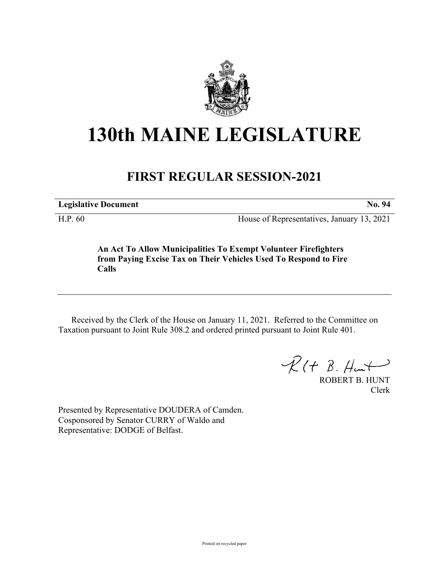

## **130th MAINE LEGISLATURE**

## **FIRST REGULAR SESSION-2021**

**Legislative Document No. 94**

H.P. 60 House of Representatives, January 13, 2021

**An Act To Allow Municipalities To Exempt Volunteer Firefighters from Paying Excise Tax on Their Vehicles Used To Respond to Fire Calls**

Received by the Clerk of the House on January 11, 2021. Referred to the Committee on Taxation pursuant to Joint Rule 308.2 and ordered printed pursuant to Joint Rule 401.

 $R(H B. H<sub>ur</sub>)$ 

ROBERT B. HUNT Clerk

Presented by Representative DOUDERA of Camden. Cosponsored by Senator CURRY of Waldo and Representative: DODGE of Belfast.